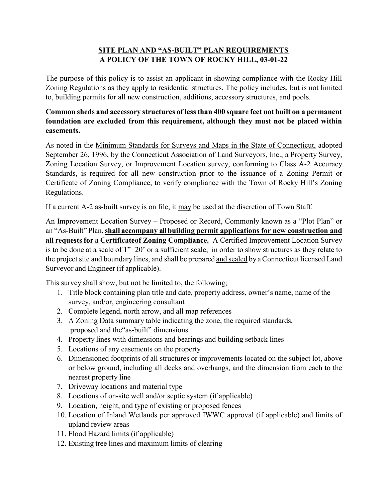## **SITE PLAN AND "AS-BUILT" PLAN REQUIREMENTS A POLICY OF THE TOWN OF ROCKY HILL, 03-01-22**

The purpose of this policy is to assist an applicant in showing compliance with the Rocky Hill Zoning Regulations as they apply to residential structures. The policy includes, but is not limited to, building permits for all new construction, additions, accessory structures, and pools.

## **Common sheds and accessory structures of lessthan 400 square feet not built on a permanent foundation are excluded from this requirement, although they must not be placed within easements.**

As noted in the Minimum Standards for Surveys and Maps in the State of Connecticut, adopted September 26, 1996, by the Connecticut Association of Land Surveyors, Inc., a Property Survey, Zoning Location Survey, or Improvement Location survey, conforming to Class A-2 Accuracy Standards, is required for all new construction prior to the issuance of a Zoning Permit or Certificate of Zoning Compliance, to verify compliance with the Town of Rocky Hill's Zoning Regulations.

If a current A-2 as-built survey is on file, it may be used at the discretion of Town Staff.

An Improvement Location Survey – Proposed or Record, Commonly known as a "Plot Plan" or an "As-Built" Plan,**shall accompany all building permit applications for new construction and all requests for a Certificateof Zoning Compliance.** A Certified Improvement Location Survey is to be done at a scale of 1"=20' or a sufficient scale, in order to show structures as they relate to the project site and boundary lines, and shall be prepared and sealed by aConnecticut licensed Land Surveyor and Engineer (if applicable).

This survey shall show, but not be limited to, the following;

- 1. Title block containing plan title and date, property address, owner's name, name of the survey, and/or, engineering consultant
- 2. Complete legend, north arrow, and all map references
- 3. A Zoning Data summary table indicating the zone, the required standards, proposed and the"as-built" dimensions
- 4. Property lines with dimensions and bearings and building setback lines
- 5. Locations of any easements on the property
- 6. Dimensioned footprints of all structures or improvements located on the subject lot, above or below ground, including all decks and overhangs, and the dimension from each to the nearest property line
- 7. Driveway locations and material type
- 8. Locations of on-site well and/or septic system (if applicable)
- 9. Location, height, and type of existing or proposed fences
- 10. Location of Inland Wetlands per approved IWWC approval (if applicable) and limits of upland review areas
- 11. Flood Hazard limits (if applicable)
- 12. Existing tree lines and maximum limits of clearing